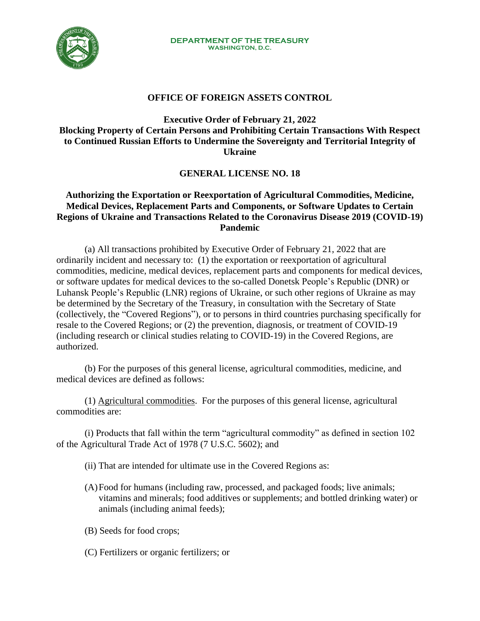

## **OFFICE OF FOREIGN ASSETS CONTROL**

## **Executive Order of February 21, 2022 Blocking Property of Certain Persons and Prohibiting Certain Transactions With Respect to Continued Russian Efforts to Undermine the Sovereignty and Territorial Integrity of Ukraine**

## **GENERAL LICENSE NO. 18**

## **Authorizing the Exportation or Reexportation of Agricultural Commodities, Medicine, Medical Devices, Replacement Parts and Components, or Software Updates to Certain Regions of Ukraine and Transactions Related to the Coronavirus Disease 2019 (COVID-19) Pandemic**

(a) All transactions prohibited by Executive Order of February 21, 2022 that are ordinarily incident and necessary to: (1) the exportation or reexportation of agricultural commodities, medicine, medical devices, replacement parts and components for medical devices, or software updates for medical devices to the so-called Donetsk People's Republic (DNR) or Luhansk People's Republic (LNR) regions of Ukraine, or such other regions of Ukraine as may be determined by the Secretary of the Treasury, in consultation with the Secretary of State (collectively, the "Covered Regions"), or to persons in third countries purchasing specifically for resale to the Covered Regions; or (2) the prevention, diagnosis, or treatment of COVID-19 (including research or clinical studies relating to COVID-19) in the Covered Regions, are authorized.

(b) For the purposes of this general license, agricultural commodities, medicine, and medical devices are defined as follows:

(1) Agricultural commodities. For the purposes of this general license, agricultural commodities are:

(i) Products that fall within the term "agricultural commodity" as defined in section 102 of the Agricultural Trade Act of 1978 (7 U.S.C. 5602); and

- (ii) That are intended for ultimate use in the Covered Regions as:
- (A)Food for humans (including raw, processed, and packaged foods; live animals; vitamins and minerals; food additives or supplements; and bottled drinking water) or animals (including animal feeds);
- (B) Seeds for food crops;
- (C) Fertilizers or organic fertilizers; or